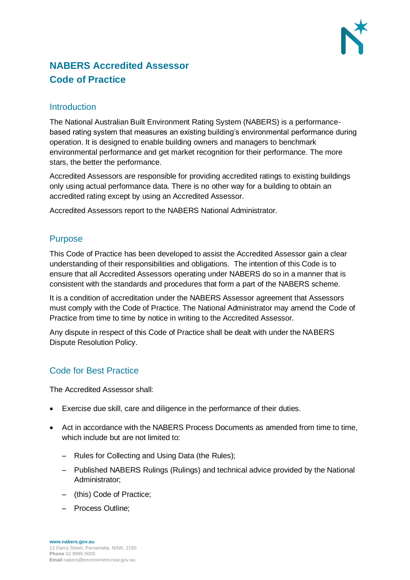

# **NABERS Accredited Assessor Code of Practice**

#### **Introduction**

The National Australian Built Environment Rating System (NABERS) is a performancebased rating system that measures an existing building's environmental performance during operation. It is designed to enable building owners and managers to benchmark environmental performance and get market recognition for their performance. The more stars, the better the performance.

Accredited Assessors are responsible for providing accredited ratings to existing buildings only using actual performance data. There is no other way for a building to obtain an accredited rating except by using an Accredited Assessor.

Accredited Assessors report to the NABERS National Administrator.

#### Purpose

This Code of Practice has been developed to assist the Accredited Assessor gain a clear understanding of their responsibilities and obligations. The intention of this Code is to ensure that all Accredited Assessors operating under NABERS do so in a manner that is consistent with the standards and procedures that form a part of the NABERS scheme.

It is a condition of accreditation under the NABERS Assessor agreement that Assessors must comply with the Code of Practice. The National Administrator may amend the Code of Practice from time to time by notice in writing to the Accredited Assessor.

Any dispute in respect of this Code of Practice shall be dealt with under the NABERS Dispute Resolution Policy.

## Code for Best Practice

The Accredited Assessor shall:

- Exercise due skill, care and diligence in the performance of their duties.
- Act in accordance with the NABERS Process Documents as amended from time to time, which include but are not limited to:
	- Rules for Collecting and Using Data (the Rules);
	- Published NABERS Rulings (Rulings) and technical advice provided by the National Administrator;
	- (this) Code of Practice;
	- Process Outline;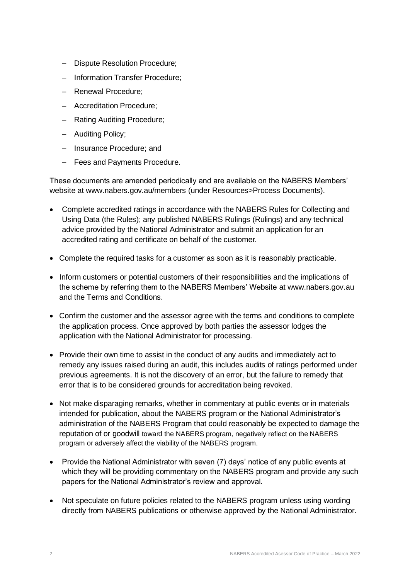- Dispute Resolution Procedure;
- Information Transfer Procedure;
- Renewal Procedure;
- Accreditation Procedure;
- Rating Auditing Procedure;
- Auditing Policy;
- Insurance Procedure; and
- Fees and Payments Procedure.

These documents are amended periodically and are available on the NABERS Members' website at www.nabers.gov.au/members (under Resources>Process Documents).

- Complete accredited ratings in accordance with the NABERS Rules for Collecting and Using Data (the Rules); any published NABERS Rulings (Rulings) and any technical advice provided by the National Administrator and submit an application for an accredited rating and certificate on behalf of the customer.
- Complete the required tasks for a customer as soon as it is reasonably practicable.
- Inform customers or potential customers of their responsibilities and the implications of the scheme by referring them to the NABERS Members' Website at www.nabers.gov.au and the Terms and Conditions.
- Confirm the customer and the assessor agree with the terms and conditions to complete the application process. Once approved by both parties the assessor lodges the application with the National Administrator for processing.
- Provide their own time to assist in the conduct of any audits and immediately act to remedy any issues raised during an audit, this includes audits of ratings performed under previous agreements. It is not the discovery of an error, but the failure to remedy that error that is to be considered grounds for accreditation being revoked.
- Not make disparaging remarks, whether in commentary at public events or in materials intended for publication, about the NABERS program or the National Administrator's administration of the NABERS Program that could reasonably be expected to damage the reputation of or goodwill toward the NABERS program, negatively reflect on the NABERS program or adversely affect the viability of the NABERS program.
- Provide the National Administrator with seven (7) days' notice of any public events at which they will be providing commentary on the NABERS program and provide any such papers for the National Administrator's review and approval.
- Not speculate on future policies related to the NABERS program unless using wording directly from NABERS publications or otherwise approved by the National Administrator.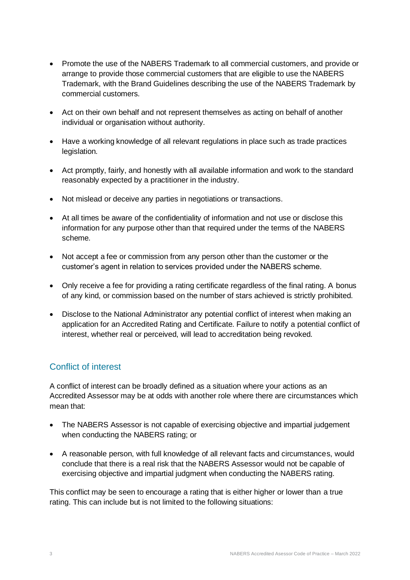- Promote the use of the NABERS Trademark to all commercial customers, and provide or arrange to provide those commercial customers that are eligible to use the NABERS Trademark, with the Brand Guidelines describing the use of the NABERS Trademark by commercial customers.
- Act on their own behalf and not represent themselves as acting on behalf of another individual or organisation without authority.
- Have a working knowledge of all relevant regulations in place such as trade practices legislation.
- Act promptly, fairly, and honestly with all available information and work to the standard reasonably expected by a practitioner in the industry.
- Not mislead or deceive any parties in negotiations or transactions.
- At all times be aware of the confidentiality of information and not use or disclose this information for any purpose other than that required under the terms of the NABERS scheme.
- Not accept a fee or commission from any person other than the customer or the customer's agent in relation to services provided under the NABERS scheme.
- Only receive a fee for providing a rating certificate regardless of the final rating. A bonus of any kind, or commission based on the number of stars achieved is strictly prohibited.
- Disclose to the National Administrator any potential conflict of interest when making an application for an Accredited Rating and Certificate. Failure to notify a potential conflict of interest, whether real or perceived, will lead to accreditation being revoked.

## Conflict of interest

A conflict of interest can be broadly defined as a situation where your actions as an Accredited Assessor may be at odds with another role where there are circumstances which mean that:

- The NABERS Assessor is not capable of exercising objective and impartial judgement when conducting the NABERS rating; or
- A reasonable person, with full knowledge of all relevant facts and circumstances, would conclude that there is a real risk that the NABERS Assessor would not be capable of exercising objective and impartial judgment when conducting the NABERS rating.

This conflict may be seen to encourage a rating that is either higher or lower than a true rating. This can include but is not limited to the following situations: